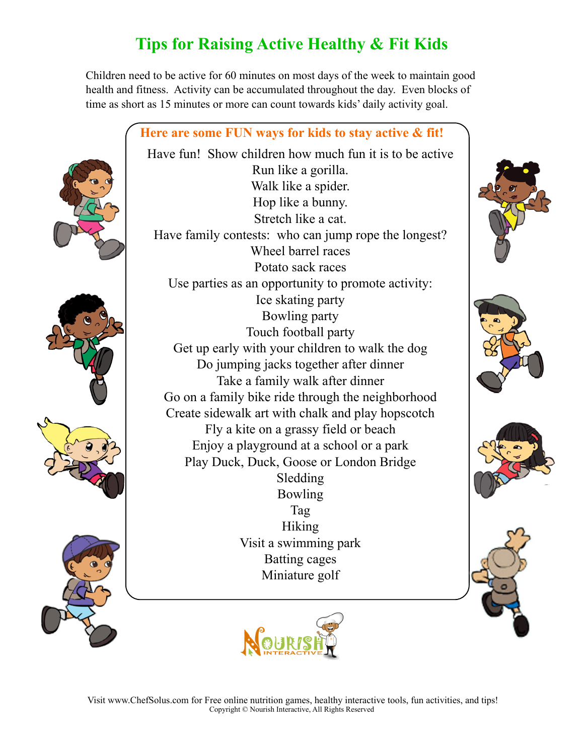# **Tips for Raising Active Healthy & Fit Kids**

Children need to be active for 60 minutes on most days of the week to maintain good health and fitness. Activity can be accumulated throughout the day. Even blocks of time as short as 15 minutes or more can count towards kids' daily activity goal.



Have fun! Show children how much fun it is to be active









Run like a gorilla. Walk like a spider. Hop like a bunny. Stretch like a cat. Have family contests: who can jump rope the longest? Wheel barrel races Potato sack races Use parties as an opportunity to promote activity: Ice skating party Bowling party Touch football party Get up early with your children to walk the dog Do jumping jacks together after dinner Take a family walk after dinner Go on a family bike ride through the neighborhood Create sidewalk art with chalk and play hopscotch Fly a kite on a grassy field or beach Enjoy a playground at a school or a park Play Duck, Duck, Goose or London Bridge Sledding Bowling Tag Hiking Visit a swimming park Batting cages Miniature golf











 Visit [www.ChefSolus.com](http://www.ChefSolus.com) for Free online nutrition games, healthy interactive tools, fun activities, and tips! Copyright © Nourish Interactive, All Rights Reserved